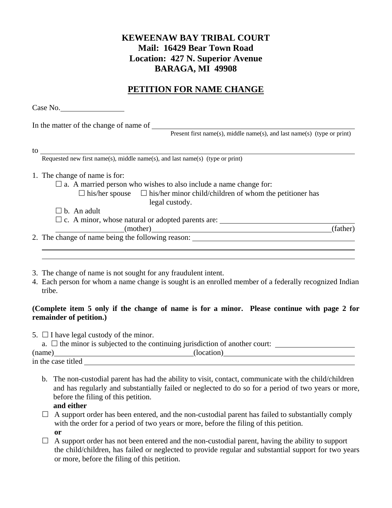## **KEWEENAW BAY TRIBAL COURT Mail: 16429 Bear Town Road Location: 427 N. Superior Avenue BARAGA, MI 49908**

## **PETITION FOR NAME CHANGE**

|        | Case No.                                                                                                                                                                                                                                   |
|--------|--------------------------------------------------------------------------------------------------------------------------------------------------------------------------------------------------------------------------------------------|
|        |                                                                                                                                                                                                                                            |
|        | Present first name(s), middle name(s), and last name(s) (type or print)                                                                                                                                                                    |
|        |                                                                                                                                                                                                                                            |
|        | to $\frac{1}{\text{Required new first name}(s)}$ , middle name(s), and last name(s) (type or print)                                                                                                                                        |
|        | 1. The change of name is for:                                                                                                                                                                                                              |
|        | $\Box$ a. A married person who wishes to also include a name change for:                                                                                                                                                                   |
|        | $\Box$ his/her spouse $\Box$ his/her minor child/children of whom the petitioner has                                                                                                                                                       |
|        | legal custody.                                                                                                                                                                                                                             |
|        | $\Box$ b. An adult                                                                                                                                                                                                                         |
|        |                                                                                                                                                                                                                                            |
|        | (father)<br>(mother) and the contract of the contract of the contract of the contract of the contract of the contract of the contract of the contract of the contract of the contract of the contract of the contract of the contract of t |
|        |                                                                                                                                                                                                                                            |
|        |                                                                                                                                                                                                                                            |
|        |                                                                                                                                                                                                                                            |
|        | 3. The change of name is not sought for any fraudulent intent.                                                                                                                                                                             |
|        | 4. Each person for whom a name change is sought is an enrolled member of a federally recognized Indian                                                                                                                                     |
| tribe. |                                                                                                                                                                                                                                            |
|        |                                                                                                                                                                                                                                            |
|        | (Complete item 5 only if the change of name is for a minor. Please continue with page 2 for                                                                                                                                                |
|        |                                                                                                                                                                                                                                            |

# **remainder of petition.)**

| 5. $\Box$ I have legal custody of the minor. |  |
|----------------------------------------------|--|
|----------------------------------------------|--|

| a. $\Box$ the minor is subjected to the continuing jurisdiction of another court: |            |  |  |  |  |
|-----------------------------------------------------------------------------------|------------|--|--|--|--|
| (name)                                                                            | (location) |  |  |  |  |
| in the case titled                                                                |            |  |  |  |  |

- b. The non-custodial parent has had the ability to visit, contact, communicate with the child/children and has regularly and substantially failed or neglected to do so for a period of two years or more, before the filing of this petition.
	- **and either**
- $\Box$  A support order has been entered, and the non-custodial parent has failed to substantially comply with the order for a period of two years or more, before the filing of this petition. **or**
- $\Box$  A support order has not been entered and the non-custodial parent, having the ability to support the child/children, has failed or neglected to provide regular and substantial support for two years or more, before the filing of this petition.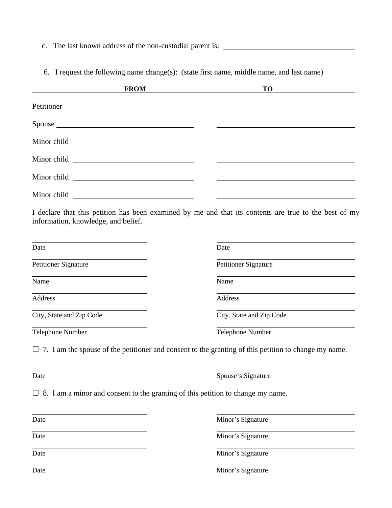c. The last known address of the non-custodial parent is:

l

6. I request the following name change(s): (state first name, middle name, and last name)

| <u> The Communication of the Communication</u> | <b>FROM</b> | <u> 1980 - Andrea Andrew Maria (h. 1980).</u> | $TO$ and $Q$ and $Q$ and $Q$ and $Q$ and $Q$ and $Q$ and $Q$ and $Q$ and $Q$ and $Q$ and $Q$ and $Q$ and $Q$ and $Q$ and $Q$ and $Q$ and $Q$ and $Q$ and $Q$ and $Q$ and $Q$ and $Q$ and $Q$ and $Q$ and $Q$ and $Q$ and $Q$ a |
|------------------------------------------------|-------------|-----------------------------------------------|--------------------------------------------------------------------------------------------------------------------------------------------------------------------------------------------------------------------------------|
|                                                |             |                                               |                                                                                                                                                                                                                                |
|                                                | Spouse      |                                               |                                                                                                                                                                                                                                |
|                                                |             |                                               |                                                                                                                                                                                                                                |
|                                                |             |                                               |                                                                                                                                                                                                                                |
|                                                |             |                                               |                                                                                                                                                                                                                                |
| Minor child                                    |             |                                               |                                                                                                                                                                                                                                |

I declare that this petition has been examined by me and that its contents are true to the best of my information, knowledge, and belief.

| Date                        | Date                        |
|-----------------------------|-----------------------------|
| <b>Petitioner Signature</b> | <b>Petitioner Signature</b> |
| Name                        | Name                        |
| Address                     | Address                     |
| City, State and Zip Code    | City, State and Zip Code    |
| Telephone Number            | Telephone Number            |

 $\Box$  7. I am the spouse of the petitioner and consent to the granting of this petition to change my name.

| $\sim$<br>×<br>٠<br>۰. |
|------------------------|
|------------------------|

l

Spouse's Signature

 $\Box$  8. I am a minor and consent to the granting of this petition to change my name.

| Date |  |
|------|--|
|      |  |
|      |  |

l

l

Date Minor's Signature

Date Minor's Signature  $\overline{a}$ 

Minor's Signature

Date Minor's Signature